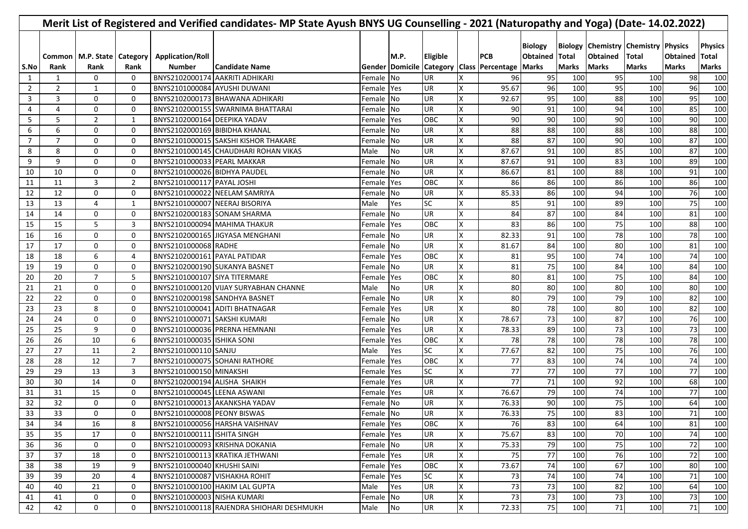| Merit List of Registered and Verified candidates- MP State Ayush BNYS UG Counselling - 2021 (Naturopathy and Yoga) (Date- 14.02.2022) |                |                                          |                |                                          |                                           |            |           |                 |                         |                                                               |                                   |                              |                                                                               |                              |                                 |                                         |
|---------------------------------------------------------------------------------------------------------------------------------------|----------------|------------------------------------------|----------------|------------------------------------------|-------------------------------------------|------------|-----------|-----------------|-------------------------|---------------------------------------------------------------|-----------------------------------|------------------------------|-------------------------------------------------------------------------------|------------------------------|---------------------------------|-----------------------------------------|
| S.No                                                                                                                                  | Rank           | Common   M.P. State   Category  <br>Rank | Rank           | <b>Application/Roll</b><br><b>Number</b> | <b>Candidate Name</b>                     |            | M.P.      | <b>Eligible</b> |                         | <b>PCB</b><br>Gender Domicile Category Class Percentage Marks | <b>Biology</b><br><b>Obtained</b> | <b>Total</b><br><b>Marks</b> | <b>Biology Chemistry Chemistry Physics</b><br><b>Obtained</b><br><b>Marks</b> | <b>Total</b><br><b>Marks</b> | <b>Obtained</b><br><b>Marks</b> | <b>Physics</b><br>Total<br><b>Marks</b> |
| 1                                                                                                                                     | 1              | 0                                        | 0              | BNYS2102000174 AAKRITI ADHIKARI          |                                           | Female No  |           | UR              | х                       | 96                                                            | 95                                | 100                          | 95                                                                            | 100                          | 98                              | 100                                     |
| 2                                                                                                                                     | $\overline{2}$ | 1                                        | $\mathbf 0$    | BNYS2101000084 AYUSHI DUWANI             |                                           | Female Yes |           | UR              | X                       | 95.67                                                         | 96                                | 100                          | 95                                                                            | 100                          | 96                              | 100                                     |
| 3                                                                                                                                     | 3              | 0                                        | 0              |                                          | BNYS2102000173 BHAWANA ADHIKARI           | Female No  |           | <b>UR</b>       | X                       | 92.67                                                         | 95                                | 100                          | 88                                                                            | 100                          | 95                              | 100                                     |
| 4                                                                                                                                     | 4              | 0                                        | $\mathbf 0$    |                                          | BNYS2102000155 SWARNIMA BHATTARAI         | Female No  |           | UR              | x                       | 90                                                            | 91                                | 100                          | 94                                                                            | 100                          | 85                              | 100                                     |
| 5                                                                                                                                     | 5              | $\overline{2}$                           | 1              | BNYS2102000164 DEEPIKA YADAV             |                                           | Female Yes |           | <b>OBC</b>      | x                       | 90                                                            | 90                                | 100                          | 90                                                                            | 100                          | 90                              | 100                                     |
| 6                                                                                                                                     | 6              | 0                                        | 0              | BNYS2102000169 BIBIDHA KHANAL            |                                           | Female No  |           | UR              | X                       | 88                                                            | 88                                | 100                          | 88                                                                            | 100                          | 88                              | 100                                     |
| 7                                                                                                                                     | $\overline{7}$ | 0                                        | 0              |                                          | BNYS2101000015 SAKSHI KISHOR THAKARE      | Female No  |           | UR              | X                       | 88                                                            | 87                                | 100                          | 90                                                                            | 100                          | 87                              | 100                                     |
| 8                                                                                                                                     | 8              | 0                                        | 0              |                                          | BNYS2101000145 CHAUDHARI ROHAN VIKAS      | Male       | No        | UR              | X                       | 87.67                                                         | 91                                | 100                          | 85                                                                            | 100                          | 87                              | 100                                     |
| 9                                                                                                                                     | 9              | 0                                        | 0              | BNYS2101000033 PEARL MAKKAR              |                                           | Female No  |           | UR              | X                       | 87.67                                                         | 91                                | 100                          | 83                                                                            | 100                          | 89                              | 100                                     |
| 10                                                                                                                                    | 10             | 0                                        | $\mathbf 0$    | BNYS2101000026 BIDHYA PAUDEL             |                                           | Female No  |           | <b>UR</b>       | X                       | 86.67                                                         | 81                                | 100                          | 88                                                                            | 100                          | 91                              | 100                                     |
| 11                                                                                                                                    | 11             | 3                                        | $\overline{2}$ | BNYS2101000117 PAYAL JOSHI               |                                           | Female Yes |           | OBC             | X                       | 86                                                            | 86                                | 100                          | 86                                                                            | 100                          | 86                              | 100                                     |
| 12                                                                                                                                    | 12             | 0                                        | $\mathbf 0$    |                                          | BNYS2101000022 NEELAM SAMRIYA             | Female No  |           | <b>UR</b>       | X                       | 85.33                                                         | 86                                | 100                          | 94                                                                            | 100                          | 76                              | 100                                     |
| 13                                                                                                                                    | 13             | 4                                        | 1              | BNYS2101000007 NEERAJ BISORIYA           |                                           | Male       | Yes       | <b>SC</b>       | X                       | 85                                                            | 91                                | 100                          | 89                                                                            | 100                          | 75                              | 100                                     |
| 14                                                                                                                                    | 14             | 0                                        | 0              | BNYS2102000183 SONAM SHARMA              |                                           | Female No  |           | <b>UR</b>       | X                       | 84                                                            | 87                                | 100                          | 84                                                                            | 100                          | 81                              | 100                                     |
| 15                                                                                                                                    | 15             | 5                                        | 3              |                                          | BNYS2101000094 MAHIMA THAKUR              | Female Yes |           | OBC             | X                       | 83                                                            | 86                                | 100                          | 75                                                                            | 100                          | 88                              | 100                                     |
| 16                                                                                                                                    | 16             | 0                                        | 0              |                                          | BNYS2102000165 JIGYASA MENGHANI           | Female No  |           | <b>UR</b>       | X                       | 82.33                                                         | 91                                | 100                          | 78                                                                            | 100                          | 78                              | 100                                     |
| 17                                                                                                                                    | 17             | 0                                        | 0              | BNYS2101000068 RADHE                     |                                           | Female No  |           | <b>UR</b>       | X                       | 81.67                                                         | 84                                | 100                          | 80                                                                            | 100                          | 81                              | 100                                     |
| 18                                                                                                                                    | 18             | 6                                        | 4              | BNYS2102000161 PAYAL PATIDAR             |                                           | Female Yes |           | OBC             | X                       | 81                                                            | 95                                | 100                          | 74                                                                            | 100                          | 74                              | 100                                     |
| 19                                                                                                                                    | 19             | 0                                        | 0              | BNYS2102000190 SUKANYA BASNET            |                                           | Female No  |           | <b>UR</b>       | X                       | 81                                                            | 75                                | 100                          | 84                                                                            | 100                          | 84                              | 100                                     |
| 20                                                                                                                                    | 20             | $\overline{7}$                           | 5              | BNYS2101000107 SIYA TITERMARE            |                                           | Female Yes |           | OBC             | х                       | 80                                                            | 81                                | 100                          | 75                                                                            | 100                          | 84                              | 100                                     |
| 21                                                                                                                                    | 21             | 0                                        | 0              |                                          | BNYS2101000120 VIJAY SURYABHAN CHANNE     | Male       | <b>No</b> | UR              | х                       | 80                                                            | 80                                | 100                          | 80                                                                            | 100                          | 80                              | 100                                     |
| 22                                                                                                                                    | 22             | 0                                        | 0              |                                          | BNYS2102000198 SANDHYA BASNET             | Female No  |           | UR              | X                       | 80                                                            | 79                                | 100                          | 79                                                                            | 100                          | 82                              | 100                                     |
| 23                                                                                                                                    | 23             | 8                                        | 0              |                                          | BNYS2101000041 ADITI BHATNAGAR            | Female Yes |           | UR              | X                       | 80                                                            | 78                                | 100                          | 80                                                                            | 100                          | 82                              | 100                                     |
| 24                                                                                                                                    | 24             | 0                                        | 0              | BNYS2101000071 SAKSHI KUMARI             |                                           | Female No  |           | <b>UR</b>       | X                       | 78.67                                                         | 73                                | 100                          | 87                                                                            | 100                          | 76                              | 100                                     |
| 25                                                                                                                                    | 25             | 9                                        | 0              |                                          | BNYS2101000036 PRERNA HEMNANI             | Female Yes |           | UR              | X                       | 78.33                                                         | 89                                | 100                          | 73                                                                            | 100                          | 73                              | 100                                     |
| 26                                                                                                                                    | 26             | 10                                       | 6              | BNYS2101000035 ISHIKA SONI               |                                           | Female Yes |           | OBC             | X                       | 78                                                            | 78                                | 100                          | 78                                                                            | 100                          | 78                              | 100                                     |
| 27                                                                                                                                    | 27             | 11                                       | $\overline{2}$ | BNYS2101000110 SANJU                     |                                           | Male       | Yes       | <b>SC</b>       | X                       | 77.67                                                         | 82                                | 100                          | 75                                                                            | 100                          | 76                              | 100                                     |
| 28                                                                                                                                    | 28             | 12                                       | $\overline{7}$ |                                          | BNYS2101000075 SOHANI RATHORE             | Female Yes |           | OBC             | X                       | 77                                                            | 83                                | 100                          | 74                                                                            | 100                          | 74                              | 100                                     |
| 29                                                                                                                                    | 29             | 13                                       | 3              | BNYS2101000150 MINAKSHI                  |                                           | Female Yes |           | <b>SC</b>       | X                       | 77                                                            | $\overline{77}$                   | 100                          | 77                                                                            | 100                          | 77                              | 100                                     |
| 30                                                                                                                                    | 30             | 14                                       | 0              | BNYS2102000194 ALISHA SHAIKH             |                                           | Female Yes |           | <b>UR</b>       | X                       | 77                                                            | 71                                | 100                          | 92                                                                            | 100                          | 68                              | 100                                     |
| 31                                                                                                                                    | 31             | 15                                       | 0              | BNYS2101000045 LEENA ASWANI              |                                           | Female Yes |           | UR              | X                       | 76.67                                                         | 79                                | 100                          | 74                                                                            | 100                          | 77                              | 100                                     |
| 32                                                                                                                                    | 32             | 0                                        | 0              |                                          | BNYS2101000013 AKANKSHA YADAV             | Female No  |           | UR              | X                       | 76.33                                                         | 90                                | 100                          | 75                                                                            | 100                          | 64                              | 100                                     |
| 33                                                                                                                                    | 33             | 0                                        | 0              | BNYS2101000008 PEONY BISWAS              |                                           | Female No  |           | <b>UR</b>       | $\overline{\mathsf{x}}$ | 76.33                                                         | 75                                | 100                          | 83                                                                            | 100                          | 71                              | 100                                     |
| 34                                                                                                                                    | 34             | 16                                       | 8              |                                          | BNYS2101000056 HARSHA VAISHNAV            | Female Yes |           | OBC             | X                       | 76                                                            | 83                                | 100                          | 64                                                                            | 100                          | 81                              | 100                                     |
| 35                                                                                                                                    | 35             | 17                                       | 0              | BNYS2101000111 ISHITA SINGH              |                                           | Female Yes |           | UR              | X                       | 75.67                                                         | 83                                | 100                          | 70                                                                            | 100                          | 74                              | 100                                     |
| 36                                                                                                                                    | 36             | 0                                        | 0              |                                          | BNYS2101000093 KRISHNA DOKANIA            | Female No  |           | UR              | X                       | 75.33                                                         | 79                                | 100                          | 75                                                                            | 100                          | 72                              | 100                                     |
| 37                                                                                                                                    | 37             | 18                                       | 0              |                                          | BNYS2101000113 KRATIKA JETHWANI           | Female Yes |           | UR              | X                       | 75                                                            | 77                                | 100                          | 76                                                                            | 100                          | 72                              | 100                                     |
| 38                                                                                                                                    | 38             | 19                                       | 9              | BNYS2101000040 KHUSHI SAINI              |                                           | Female Yes |           | OBC             | X                       | 73.67                                                         | 74                                | 100                          | 67                                                                            | 100                          | 80                              | 100                                     |
| 39                                                                                                                                    | 39             | 20                                       | 4              | BNYS2101000087 VISHAKHA ROHIT            |                                           | Female Yes |           | <b>SC</b>       | X                       | 73                                                            | 74                                | 100                          | 74                                                                            | 100                          | $71\,$                          | 100                                     |
| 40                                                                                                                                    | 40             | 21                                       | 0              |                                          | BNYS2101000100 HAKIM LAL GUPTA            | Male       | Yes       | UR              | X                       | 73                                                            | 73                                | 100                          | 82                                                                            | 100                          | 64                              | 100                                     |
| 41                                                                                                                                    | 41             | 0                                        | 0              | BNYS2101000003 NISHA KUMARI              |                                           | Female No  |           | UR              | X                       | 73                                                            | 73                                | 100                          | 73                                                                            | 100                          | 73                              | 100                                     |
| 42                                                                                                                                    | 42             | 0                                        | 0              |                                          | BNYS2101000118 RAJENDRA SHIOHARI DESHMUKH | Male No    |           | UR              | X.                      | 72.33                                                         | 75                                | 100                          | 71                                                                            | 100                          | $71\,$                          | 100                                     |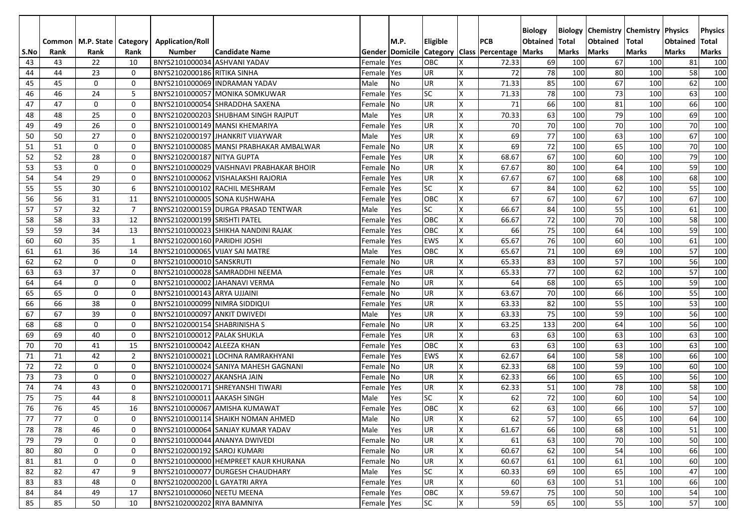|            |            |                       |                |                                          |                                          |                      |           |                 |                         |                                                                    | <b>Biology</b>  | <b>Biology</b> |                 | <b>Chemistry   Chemistry   Physics</b> |                                 | <b>Physics</b>      |
|------------|------------|-----------------------|----------------|------------------------------------------|------------------------------------------|----------------------|-----------|-----------------|-------------------------|--------------------------------------------------------------------|-----------------|----------------|-----------------|----------------------------------------|---------------------------------|---------------------|
|            | Common     | M.P. State   Category |                | <b>Application/Roll</b><br><b>Number</b> | <b>Candidate Name</b>                    |                      | M.P.      | <b>Eligible</b> |                         | <b>PCB</b>                                                         | <b>Obtained</b> | <b>Total</b>   | <b>Obtained</b> | Total<br><b>Marks</b>                  | <b>Obtained</b><br><b>Marks</b> | Total               |
| S.No<br>43 | Rank<br>43 | Rank<br>22            | Rank<br>10     | BNYS2101000034 ASHVANI YADAV             |                                          |                      | Yes       | <b>OBC</b>      | X                       | Gender   Domicile   Category   Class   Percentage   Marks<br>72.33 | 69              | Marks<br>100   | Marks<br>67     | 100                                    | 81                              | <b>Marks</b><br>100 |
| 44         | 44         | 23                    | 0              | BNYS2102000186 RITIKA SINHA              |                                          | Female<br>Female Yes |           | <b>UR</b>       | X                       | 72                                                                 | 78              | 100            | 80              | 100                                    | 58                              | 100                 |
| 45         | 45         | $\mathbf 0$           | 0              |                                          | BNYS2101000069 INDRAMAN YADAV            | Male                 | No        | <b>UR</b>       | X                       | 71.33                                                              | 85              | 100            | 67              | 100                                    | 62                              | 100                 |
| 46         | 46         | 24                    | 5              |                                          | BNYS2101000057 MONIKA SOMKUWAR           | Female Yes           |           | <b>SC</b>       | X                       | 71.33                                                              | 78              | 100            | 73              | 100                                    | 63                              | 100                 |
| 47         | 47         | 0                     | 0              |                                          | BNYS2101000054 SHRADDHA SAXENA           | Female No            |           | <b>UR</b>       | X                       | 71                                                                 | 66              | 100            | 81              | 100                                    | 66                              | 100                 |
| 48         | 48         | 25                    | 0              |                                          | BNYS2102000203 SHUBHAM SINGH RAJPUT      | Male                 | Yes       | <b>UR</b>       | Χ                       | 70.33                                                              | 63              | 100            | 79              | 100                                    | 69                              | 100                 |
| 49         | 49         | 26                    | 0              |                                          | BNYS2101000149 MANSI KHEMARIYA           | Female Yes           |           | <b>UR</b>       | Χ                       | 70                                                                 | 70              | 100            | 70              | 100                                    | 70                              | 100                 |
| 50         | 50         | 27                    | 0              |                                          | BNYS2102000197 JHANKRIT VIJAYWAR         | Male                 | Yes       | <b>UR</b>       | Χ                       | 69                                                                 | 77              | 100            | 63              | 100                                    | 67                              | 100                 |
| 51         | 51         | 0                     | 0              |                                          | BNYS2101000085 MANSI PRABHAKAR AMBALWAR  | Female No            |           | <b>UR</b>       | Χ                       | 69                                                                 | 72              | 100            | 65              | 100                                    | 70                              | 100                 |
| 52         | 52         | 28                    | 0              | BNYS2102000187 NITYA GUPTA               |                                          | Female Yes           |           | <b>UR</b>       | X                       | 68.67                                                              | 67              | 100            | 60              | 100                                    | 79                              | 100                 |
| 53         | 53         | $\mathbf 0$           | $\mathbf 0$    |                                          | BNYS2101000029 VAISHNAVI PRABHAKAR BHOIR | Female No            |           | <b>UR</b>       | X                       | 67.67                                                              | 80              | 100            | 64              | 100                                    | 59                              | 100                 |
| 54         | 54         | 29                    | 0              |                                          | BNYS2101000062 VISHALAKSHI RAJORIA       | Female               | Yes       | <b>UR</b>       | X                       | 67.67                                                              | 67              | 100            | 68              | 100                                    | 68                              | 100                 |
| 55         | 55         | 30                    | 6              |                                          | BNYS2101000102 RACHIL MESHRAM            | Female               | Yes       | <b>SC</b>       | X                       | 67                                                                 | 84              | 100            | 62              | 100                                    | 55                              | 100                 |
| 56         | 56         | 31                    | 11             |                                          | BNYS2101000005 SONA KUSHWAHA             | Female               | Yes       | <b>OBC</b>      | X                       | 67                                                                 | 67              | 100            | 67              | 100                                    | 67                              | 100                 |
| 57         | 57         | 32                    | $\overline{7}$ |                                          | BNYS2102000159 DURGA PRASAD TENTWAR      | Male                 | Yes       | <b>SC</b>       | X                       | 66.67                                                              | 84              | 100            | 55              | 100                                    | 61                              | 100                 |
| 58         | 58         | 33                    | 12             | BNYS2102000199 SRISHTI PATEL             |                                          | Female               | Yes       | <b>OBC</b>      | $\times$                | 66.67                                                              | 72              | 100            | 70              | 100                                    | 58                              | 100                 |
| 59         | 59         | 34                    | 13             |                                          | BNYS2101000023 SHIKHA NANDINI RAJAK      | Female               | Yes       | <b>OBC</b>      | x                       | 66                                                                 | 75              | 100            | 64              | 100                                    | 59                              | 100                 |
| 60         | 60         | 35                    | $\mathbf{1}$   | BNYS2102000160 PARIDHI JOSHI             |                                          | Female               | Yes       | <b>EWS</b>      | $\overline{\mathsf{x}}$ | 65.67                                                              | 76              | 100            | 60              | 100                                    | 61                              | 100                 |
| 61         | 61         | 36                    | 14             | BNYS2101000065 VIJAY SAI MATRE           |                                          | Male                 | Yes       | <b>OBC</b>      | x                       | 65.67                                                              | 71              | 100            | 69              | 100                                    | 57                              | 100                 |
| 62         | 62         | 0                     | 0              | BNYS2101000010 SANSKRUTI                 |                                          | Female               | <b>No</b> | <b>UR</b>       | x                       | 65.33                                                              | 83              | 100            | 57              | 100                                    | 56                              | 100                 |
| 63         | 63         | 37                    | 0              |                                          | BNYS2101000028 SAMRADDHI NEEMA           | Female               | Yes       | <b>UR</b>       | X                       | 65.33                                                              | 77              | 100            | 62              | 100                                    | 57                              | 100                 |
| 64         | 64         | 0                     | 0              |                                          | BNYS2101000002 JAHANAVI VERMA            | Female               | No        | <b>UR</b>       | X                       | 64                                                                 | 68              | 100            | 65              | 100                                    | 59                              | 100                 |
| 65         | 65         | 0                     | 0              | BNYS2101000143 ARYA UJJAINI              |                                          | Female               | <b>No</b> | <b>UR</b>       | X                       | 63.67                                                              | 70              | 100            | 66              | 100                                    | 55                              | 100                 |
| 66         | 66         | 38                    | 0              | BNYS2101000099 NIMRA SIDDIQUI            |                                          | Female               | Yes       | <b>UR</b>       | X                       | 63.33                                                              | 82              | 100            | 55              | 100                                    | 53                              | 100                 |
| 67         | 67         | 39                    | 0              | BNYS2101000097 ANKIT DWIVEDI             |                                          | Male                 | Yes       | <b>UR</b>       | X                       | 63.33                                                              | 75              | 100            | 59              | 100                                    | 56                              | 100                 |
| 68         | 68         | $\mathbf 0$           | 0              | BNYS2102000154 SHABRINISHA S             |                                          | Female               | No        | <b>UR</b>       | Χ                       | 63.25                                                              | 133             | 200            | 64              | 100                                    | 56                              | 100                 |
| 69         | 69         | 40                    | 0              | BNYS2101000012 PALAK SHUKLA              |                                          | Female               | Yes       | <b>UR</b>       | X                       | 63                                                                 | 63              | 100            | 63              | 100                                    | 63                              | 100                 |
| 70         | 70         | 41                    | 15             | BNYS2101000042 ALEEZA KHAN               |                                          | Female               | Yes       | OBC             | X                       | 63                                                                 | 63              | 100            | 63              | 100                                    | 63                              | 100                 |
| 71         | 71         | 42                    | $\overline{2}$ |                                          | BNYS2101000021 LOCHNA RAMRAKHYANI        | Female               | Yes       | <b>EWS</b>      | X                       | 62.67                                                              | 64              | 100            | 58              | 100                                    | 66                              | 100                 |
| 72         | 72         | 0                     | 0              |                                          | BNYS2101000024 SANIYA MAHESH GAGNANI     | Female               | <b>No</b> | <b>UR</b>       | x                       | 62.33                                                              | 68              | 100            | 59              | 100                                    | 60                              | 100                 |
| 73         | 73         | 0                     | 0              | BNYS2101000027 AKANSHA JAIN              |                                          | Female               | <b>No</b> | <b>UR</b>       | $\times$                | 62.33                                                              | 66              | 100            | 65              | 100                                    | 56                              | 100                 |
| 74         | 74         | 43                    | 0              |                                          | BNYS2102000171 SHREYANSHI TIWARI         | Female Yes           |           | <b>UR</b>       | X                       | 62.33                                                              | 51              | 100            | 78              | 100                                    | 58                              | 100                 |
| 75         | 75         | 44                    | 8              | BNYS2101000011 AAKASH SINGH              |                                          | Male                 | Yes       | <b>SC</b>       | X                       | 62                                                                 | 72              | 100            | 60              | 100                                    | 54                              | 100                 |
| 76         | 76         | 45                    | 16             |                                          | BNYS2101000067 AMISHA KUMAWAT            | Female Yes           |           | <b>OBC</b>      | x                       | 62                                                                 | 63              | 100            | 66              | 100                                    | 57                              | 100                 |
| 77         | 77         | 0                     | 0              |                                          | BNYS2101000114 SHAIKH NOMAN AHMED        | Male                 | No        | <b>UR</b>       | X                       | 62                                                                 | 57              | 100            | 65              | 100                                    | 64                              | 100                 |
| 78         | 78         | 46                    | 0              |                                          | BNYS2101000064 SANJAY KUMAR YADAV        | Male                 | Yes       | <b>UR</b>       | X                       | 61.67                                                              | 66              | 100            | 68              | 100                                    | 51                              | 100                 |
| 79         | 79         | 0                     | 0              |                                          | BNYS2101000044 ANANYA DWIVEDI            | Female No            |           | UR              | Χ                       | 61                                                                 | 63              | 100            | 70              | 100                                    | 50                              | 100                 |
| 80         | 80         | 0                     | 0              | BNYS2102000192 SAROJ KUMARI              |                                          | Female No            |           | UR              | X                       | 60.67                                                              | 62              | 100            | 54              | 100                                    | 66                              | 100                 |
| 81         | 81         | 0                     | 0              |                                          | BNYS2101000000 HEMPREET KAUR KHURANA     | Female No            |           | UR              | X                       | 60.67                                                              | 61              | 100            | 61              | 100                                    | 60                              | 100                 |
| 82         | 82         | 47                    | 9              |                                          | BNYS2101000077 DURGESH CHAUDHARY         | Male                 | Yes       | <b>SC</b>       | Χ                       | 60.33                                                              | 69              | 100            | 65              | 100                                    | 47                              | 100                 |
| 83         | 83         | 48                    | 0              | BNYS2102000200 L GAYATRI ARYA            |                                          | Female Yes           |           | <b>UR</b>       | Χ                       | 60                                                                 | 63              | 100            | 51              | 100                                    | 66                              | 100                 |
| 84         | 84         | 49                    | 17             | BNYS2101000060 NEETU MEENA               |                                          | Female Yes           |           | OBC             | Χ                       | 59.67                                                              | 75              | 100            | 50              | 100                                    | 54                              | 100                 |
| 85         | 85         | 50                    | 10             | BNYS2102000202 RIYA BAMNIYA              |                                          | Female Yes           |           | <b>SC</b>       | Χ                       | 59                                                                 | 65              | 100            | 55              | 100                                    | 57                              | 100                 |